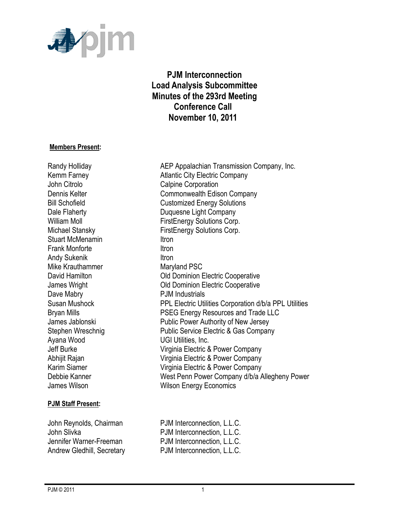

# **PJM Interconnection Load Analysis Subcommittee Minutes of the 293rd Meeting Conference Call November 10, 2011**

#### **Members Present:**

John Citrolo **Calpine Corporation** Stuart McMenamin **Itron** Frank Monforte **Itron** Andy Sukenik **Itron** Mike Krauthammer Maryland PSC Dave Mabry **PJM** Industrials Ayana Wood **UGI Utilities**, Inc.

#### **PJM Staff Present:**

Randy Holliday **AEP Appalachian Transmission Company, Inc.** Kemm Farney **Atlantic City Electric Company** Dennis Kelter **Commonwealth Edison Company** Bill Schofield Customized Energy Solutions Dale Flaherty **Duquesne Light Company** William Moll **William Moll FirstEnergy Solutions Corp.** Michael Stansky FirstEnergy Solutions Corp. David Hamilton **David Hamilton** Old Dominion Electric Cooperative James Wright Old Dominion Electric Cooperative Susan Mushock PPL Electric Utilities Corporation d/b/a PPL Utilities Bryan Mills **PSEG Energy Resources and Trade LLC** James Jablonski Public Power Authority of New Jersey Stephen Wreschnig **Public Service Electric & Gas Company** Jeff Burke Virginia Electric & Power Company Abhijit Rajan Virginia Electric & Power Company Karim Siamer Virginia Electric & Power Company Debbie Kanner West Penn Power Company d/b/a Allegheny Power James Wilson **Millipson Community** Wilson Energy Economics

John Reynolds, Chairman PJM Interconnection, L.L.C. John Slivka **PJM** Interconnection, L.L.C. Jennifer Warner-Freeman PJM Interconnection, L.L.C. Andrew Gledhill, Secretary **PJM** Interconnection, L.L.C.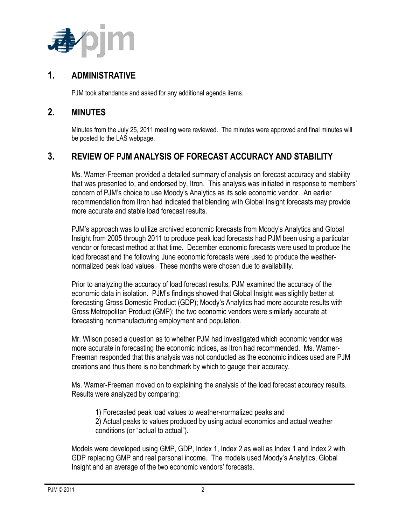

### **1. ADMINISTRATIVE**

PJM took attendance and asked for any additional agenda items.

### **2. MINUTES**

Minutes from the July 25, 2011 meeting were reviewed. The minutes were approved and final minutes will be posted to the LAS webpage.

## **3. REVIEW OF PJM ANALYSIS OF FORECAST ACCURACY AND STABILITY**

Ms. Warner-Freeman provided a detailed summary of analysis on forecast accuracy and stability that was presented to, and endorsed by, Itron. This analysis was initiated in response to members' concern of PJM's choice to use Moody's Analytics as its sole economic vendor. An earlier recommendation from Itron had indicated that blending with Global Insight forecasts may provide more accurate and stable load forecast results.

PJM's approach was to utilize archived economic forecasts from Moody's Analytics and Global Insight from 2005 through 2011 to produce peak load forecasts had PJM been using a particular vendor or forecast method at that time. December economic forecasts were used to produce the load forecast and the following June economic forecasts were used to produce the weathernormalized peak load values. These months were chosen due to availability.

Prior to analyzing the accuracy of load forecast results, PJM examined the accuracy of the economic data in isolation. PJM's findings showed that Global Insight was slightly better at forecasting Gross Domestic Product (GDP); Moody's Analytics had more accurate results with Gross Metropolitan Product (GMP); the two economic vendors were similarly accurate at forecasting nonmanufacturing employment and population.

Mr. Wilson posed a question as to whether PJM had investigated which economic vendor was more accurate in forecasting the economic indices, as Itron had recommended. Ms. Warner-Freeman responded that this analysis was not conducted as the economic indices used are PJM creations and thus there is no benchmark by which to gauge their accuracy.

Ms. Warner-Freeman moved on to explaining the analysis of the load forecast accuracy results. Results were analyzed by comparing:

1) Forecasted peak load values to weather-normalized peaks and 2) Actual peaks to values produced by using actual economics and actual weather conditions (or "actual to actual").

Models were developed using GMP, GDP, Index 1, Index 2 as well as Index 1 and Index 2 with GDP replacing GMP and real personal income. The models used Moody's Analytics, Global Insight and an average of the two economic vendors' forecasts.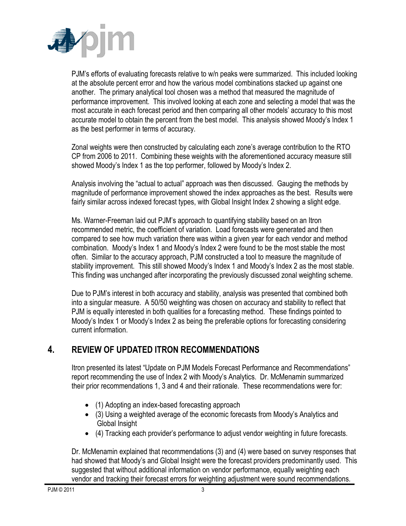

PJM's efforts of evaluating forecasts relative to w/n peaks were summarized. This included looking at the absolute percent error and how the various model combinations stacked up against one another. The primary analytical tool chosen was a method that measured the magnitude of performance improvement. This involved looking at each zone and selecting a model that was the most accurate in each forecast period and then comparing all other models' accuracy to this most accurate model to obtain the percent from the best model. This analysis showed Moody's Index 1 as the best performer in terms of accuracy.

Zonal weights were then constructed by calculating each zone's average contribution to the RTO CP from 2006 to 2011. Combining these weights with the aforementioned accuracy measure still showed Moody's Index 1 as the top performer, followed by Moody's Index 2.

Analysis involving the "actual to actual" approach was then discussed. Gauging the methods by magnitude of performance improvement showed the index approaches as the best. Results were fairly similar across indexed forecast types, with Global Insight Index 2 showing a slight edge.

Ms. Warner-Freeman laid out PJM's approach to quantifying stability based on an Itron recommended metric, the coefficient of variation. Load forecasts were generated and then compared to see how much variation there was within a given year for each vendor and method combination. Moody's Index 1 and Moody's Index 2 were found to be the most stable the most often. Similar to the accuracy approach, PJM constructed a tool to measure the magnitude of stability improvement. This still showed Moody's Index 1 and Moody's Index 2 as the most stable. This finding was unchanged after incorporating the previously discussed zonal weighting scheme.

Due to PJM's interest in both accuracy and stability, analysis was presented that combined both into a singular measure. A 50/50 weighting was chosen on accuracy and stability to reflect that PJM is equally interested in both qualities for a forecasting method. These findings pointed to Moody's Index 1 or Moody's Index 2 as being the preferable options for forecasting considering current information.

# **4. REVIEW OF UPDATED ITRON RECOMMENDATIONS**

Itron presented its latest "Update on PJM Models Forecast Performance and Recommendations" report recommending the use of Index 2 with Moody's Analytics. Dr. McMenamin summarized their prior recommendations 1, 3 and 4 and their rationale. These recommendations were for:

- (1) Adopting an index-based forecasting approach
- (3) Using a weighted average of the economic forecasts from Moody's Analytics and Global Insight
- (4) Tracking each provider's performance to adjust vendor weighting in future forecasts.

Dr. McMenamin explained that recommendations (3) and (4) were based on survey responses that had showed that Moody's and Global Insight were the forecast providers predominantly used. This suggested that without additional information on vendor performance, equally weighting each vendor and tracking their forecast errors for weighting adjustment were sound recommendations.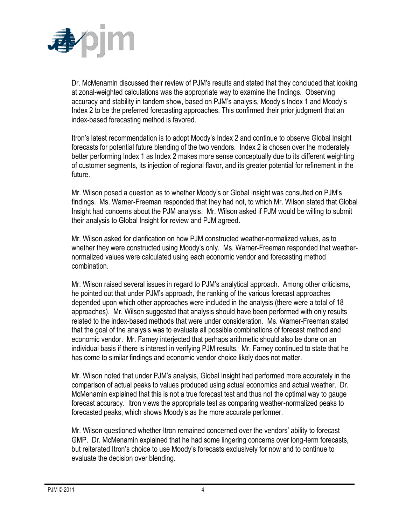

Dr. McMenamin discussed their review of PJM's results and stated that they concluded that looking at zonal-weighted calculations was the appropriate way to examine the findings. Observing accuracy and stability in tandem show, based on PJM's analysis, Moody's Index 1 and Moody's Index 2 to be the preferred forecasting approaches. This confirmed their prior judgment that an index-based forecasting method is favored.

Itron's latest recommendation is to adopt Moody's Index 2 and continue to observe Global Insight forecasts for potential future blending of the two vendors. Index 2 is chosen over the moderately better performing Index 1 as Index 2 makes more sense conceptually due to its different weighting of customer segments, its injection of regional flavor, and its greater potential for refinement in the future.

Mr. Wilson posed a question as to whether Moody's or Global Insight was consulted on PJM's findings. Ms. Warner-Freeman responded that they had not, to which Mr. Wilson stated that Global Insight had concerns about the PJM analysis. Mr. Wilson asked if PJM would be willing to submit their analysis to Global Insight for review and PJM agreed.

Mr. Wilson asked for clarification on how PJM constructed weather-normalized values, as to whether they were constructed using Moody's only. Ms. Warner-Freeman responded that weathernormalized values were calculated using each economic vendor and forecasting method combination.

Mr. Wilson raised several issues in regard to PJM's analytical approach. Among other criticisms, he pointed out that under PJM's approach, the ranking of the various forecast approaches depended upon which other approaches were included in the analysis (there were a total of 18 approaches). Mr. Wilson suggested that analysis should have been performed with only results related to the index-based methods that were under consideration. Ms. Warner-Freeman stated that the goal of the analysis was to evaluate all possible combinations of forecast method and economic vendor. Mr. Farney interjected that perhaps arithmetic should also be done on an individual basis if there is interest in verifying PJM results. Mr. Farney continued to state that he has come to similar findings and economic vendor choice likely does not matter.

Mr. Wilson noted that under PJM's analysis, Global Insight had performed more accurately in the comparison of actual peaks to values produced using actual economics and actual weather. Dr. McMenamin explained that this is not a true forecast test and thus not the optimal way to gauge forecast accuracy. Itron views the appropriate test as comparing weather-normalized peaks to forecasted peaks, which shows Moody's as the more accurate performer.

Mr. Wilson questioned whether Itron remained concerned over the vendors' ability to forecast GMP. Dr. McMenamin explained that he had some lingering concerns over long-term forecasts, but reiterated Itron's choice to use Moody's forecasts exclusively for now and to continue to evaluate the decision over blending.